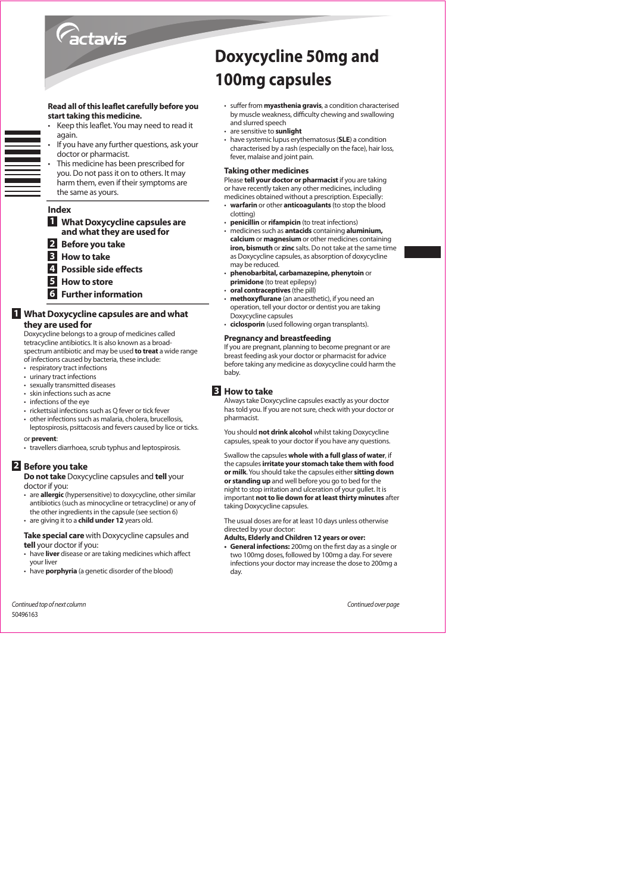

#### Read all of this leaflet carefully before you start taking this medicine.

- 
- Keep this leaflet. You may need to read it again.
- If you have any further questions, ask your doctor or pharmacist. This medicine has been prescribed for
- you. Do not pass it on to others. It may harm them, even if their symptoms are the same as yours.

## Index

**1** What Doxycycline capsules are and what they are used for

- **Before you take 2**
- $\overline{3}$ **How to take**
- $\overline{4}$ **Possible side effects**
- 5 How to store
- 
- **6** Further information

## **1** What Doxycycline capsules are and what they are used for

Doxycycline belongs to a group of medicines called tetracycline antibiotics. It is also known as a broadspectrum antibiotic and may be used to treat a wide range of infections caused by bacteria, these include:

- respiratory tract infections
- urinary tract infections
- · sexually transmitted diseases
- skin infections such as acne
- infections of the eye
- rickettsial infections such as Q fever or tick fever
- other infections such as malaria, cholera, brucellosis, leptospirosis, psittacosis and fevers caused by lice or ticks.

## or prevent:

• travellers diarrhoea, scrub typhus and leptospirosis.

## 2 Before you take

Do not take Doxycycline capsules and tell your

doctor if you:

are allergic (hypersensitive) to doxycycline, other similar antibiotics (such as minocycline or tetracycline) or any of the other ingredients in the capsule (see section 6) • are giving it to a child under 12 years old.

## Take special care with Doxycycline capsules and tell your doctor if you:

- have liver disease or are taking medicines which affect your liver
- have **porphyria** (a genetic disorder of the blood)

Continued top of next column 50496163

# **Doxycycline 50mg and** 100mg capsules

- suffer from **myasthenia gravis**, a condition characterised by muscle weakness, difficulty chewing and swallowing and slurred speech
- are sensitive to sunlight
- have systemic lupus erythematosus (SLE) a condition characterised by a rash (especially on the face), hair loss, fever, malaise and joint pain.

## **Taking other medicines**

- Please tell your doctor or pharmacist if you are taking or have recently taken any other medicines, including
- medicines obtained without a prescription. Especially: warfarin or other anticoagulants (to stop the blood
- clotting) penicillin or rifampicin (to treat infections)
- medicines such as **antacids** containing **aluminium**. calcium or magnesium or other medicines containing **iron, bismuth** or zinc salts. Do not take at the same time as Doxycycline capsules, as absorption of doxycycline may be reduced.
- phenobarbital, carbamazepine, phenytoin or primidone (to treat epilepsy)
- oral contraceptives (the pill)
- methoxyflurane (an anaesthetic). if you need an operation, tell your doctor or dentist you are taking Doxycycline capsules
- ciclosporin (used following organ transplants).

#### **Pregnancy and breastfeeding**

If you are pregnant, planning to become pregnant or are breast feeding ask your doctor or pharmacist for advice before taking any medicine as doxycycline could harm the **hahv** 

#### **B** How to take

nharmacist

You should not drink alcohol whilst taking Doxycycline capsules, speak to your doctor if you have any questions.

Swallow the capsules whole with a full glass of water, if the capsules irritate your stomach take them with food or milk. You should take the capsules either sitting down or standing up and well before you go to bed for the night to stop irritation and ulceration of your gullet. It is important not to lie down for at least thirty minutes after taking Doxycycline capsules

The usual doses are for at least 10 days unless otherwise directed by your doctor:

- Adults, Elderly and Children 12 years or over:
- General infections: 200mg on the first day as a single or<br>two 100mg doses, followed by 100mg a day. For severe infections your doctor may increase the dose to 200mg a day

Continued over page